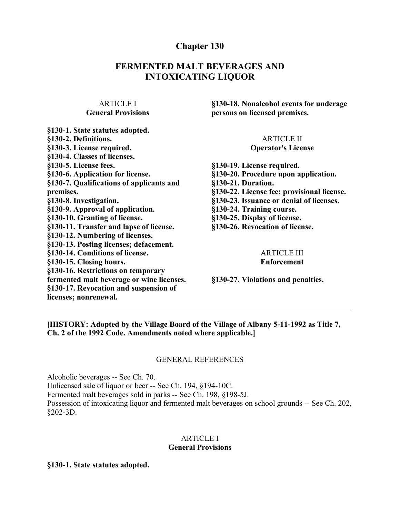# **Chapter 130**

# **FERMENTED MALT BEVERAGES AND INTOXICATING LIQUOR**

### ARTICLE I **General Provisions**

| §130-1. State statutes adopted.           |
|-------------------------------------------|
| §130-2. Definitions.                      |
| §130-3. License required.                 |
| §130-4. Classes of licenses.              |
| §130-5. License fees.                     |
| §130-6. Application for license.          |
| §130-7. Qualifications of applicants and  |
| premises.                                 |
| §130-8. Investigation.                    |
| §130-9. Approval of application.          |
| §130-10. Granting of license.             |
| §130-11. Transfer and lapse of license.   |
| §130-12. Numbering of licenses.           |
| §130-13. Posting licenses; defacement.    |
| §130-14. Conditions of license.           |
| §130-15. Closing hours.                   |
| §130-16. Restrictions on temporary        |
| fermented malt beverage or wine licenses. |
| §130-17. Revocation and suspension of     |
| licenses; nonrenewal.                     |
|                                           |

**§130-18. Nonalcohol events for underage persons on licensed premises.**

#### ARTICLE II **Operator's License**

**§130-19. License required. §130-20. Procedure upon application. §130-21. Duration. §130-22. License fee; provisional license. §130-23. Issuance or denial of licenses. §130-24. Training course. §130-25. Display of license. §130-26. Revocation of license.**

#### ARTICLE III **Enforcement**

**§130-27. Violations and penalties.**

**[HISTORY: Adopted by the Village Board of the Village of Albany 5-11-1992 as Title 7, Ch. 2 of the 1992 Code. Amendments noted where applicable.]**

#### GENERAL REFERENCES

Alcoholic beverages -- See Ch. 70. Unlicensed sale of liquor or beer -- See Ch. 194, §194-10C. Fermented malt beverages sold in parks -- See Ch. 198, §198-5J. Possession of intoxicating liquor and fermented malt beverages on school grounds -- See Ch. 202, §202-3D.

#### ARTICLE I **General Provisions**

#### **§130-1. State statutes adopted.**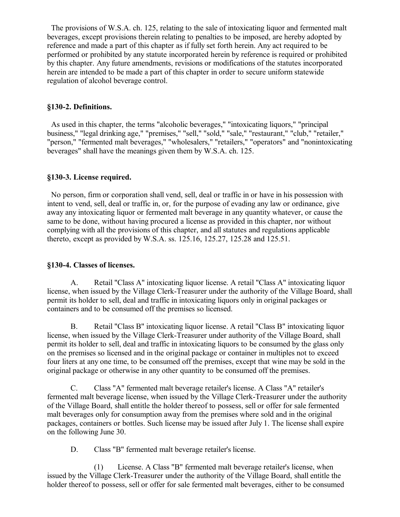The provisions of W.S.A. ch. 125, relating to the sale of intoxicating liquor and fermented malt beverages, except provisions therein relating to penalties to be imposed, are hereby adopted by reference and made a part of this chapter as if fully set forth herein. Any act required to be performed or prohibited by any statute incorporated herein by reference is required or prohibited by this chapter. Any future amendments, revisions or modifications of the statutes incorporated herein are intended to be made a part of this chapter in order to secure uniform statewide regulation of alcohol beverage control.

#### **§130-2. Definitions.**

 As used in this chapter, the terms "alcoholic beverages," "intoxicating liquors," "principal business," "legal drinking age," "premises," "sell," "sold," "sale," "restaurant," "club," "retailer," "person," "fermented malt beverages," "wholesalers," "retailers," "operators" and "nonintoxicating beverages" shall have the meanings given them by W.S.A. ch. 125.

### **§130-3. License required.**

 No person, firm or corporation shall vend, sell, deal or traffic in or have in his possession with intent to vend, sell, deal or traffic in, or, for the purpose of evading any law or ordinance, give away any intoxicating liquor or fermented malt beverage in any quantity whatever, or cause the same to be done, without having procured a license as provided in this chapter, nor without complying with all the provisions of this chapter, and all statutes and regulations applicable thereto, except as provided by W.S.A. ss. 125.16, 125.27, 125.28 and 125.51.

#### **§130-4. Classes of licenses.**

A. Retail "Class A" intoxicating liquor license. A retail "Class A" intoxicating liquor license, when issued by the Village Clerk-Treasurer under the authority of the Village Board, shall permit its holder to sell, deal and traffic in intoxicating liquors only in original packages or containers and to be consumed off the premises so licensed.

B. Retail "Class B" intoxicating liquor license. A retail "Class B" intoxicating liquor license, when issued by the Village Clerk-Treasurer under authority of the Village Board, shall permit its holder to sell, deal and traffic in intoxicating liquors to be consumed by the glass only on the premises so licensed and in the original package or container in multiples not to exceed four liters at any one time, to be consumed off the premises, except that wine may be sold in the original package or otherwise in any other quantity to be consumed off the premises.

C. Class "A" fermented malt beverage retailer's license. A Class "A" retailer's fermented malt beverage license, when issued by the Village Clerk-Treasurer under the authority of the Village Board, shall entitle the holder thereof to possess, sell or offer for sale fermented malt beverages only for consumption away from the premises where sold and in the original packages, containers or bottles. Such license may be issued after July 1. The license shall expire on the following June 30.

D. Class "B" fermented malt beverage retailer's license.

(1) License. A Class "B" fermented malt beverage retailer's license, when issued by the Village Clerk-Treasurer under the authority of the Village Board, shall entitle the holder thereof to possess, sell or offer for sale fermented malt beverages, either to be consumed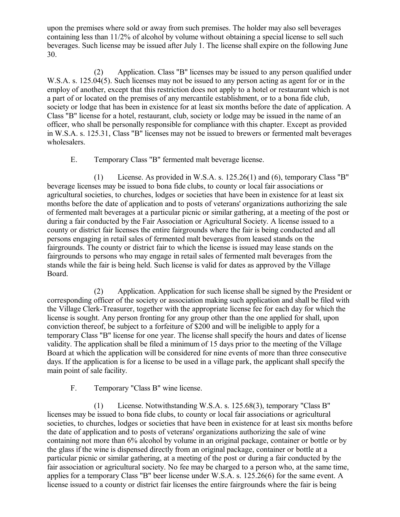upon the premises where sold or away from such premises. The holder may also sell beverages containing less than 11/2% of alcohol by volume without obtaining a special license to sell such beverages. Such license may be issued after July 1. The license shall expire on the following June 30.

(2) Application. Class "B" licenses may be issued to any person qualified under W.S.A. s. 125.04(5). Such licenses may not be issued to any person acting as agent for or in the employ of another, except that this restriction does not apply to a hotel or restaurant which is not a part of or located on the premises of any mercantile establishment, or to a bona fide club, society or lodge that has been in existence for at least six months before the date of application. A Class "B" license for a hotel, restaurant, club, society or lodge may be issued in the name of an officer, who shall be personally responsible for compliance with this chapter. Except as provided in W.S.A. s. 125.31, Class "B" licenses may not be issued to brewers or fermented malt beverages wholesalers.

E. Temporary Class "B" fermented malt beverage license.

(1) License. As provided in W.S.A. s. 125.26(1) and (6), temporary Class "B" beverage licenses may be issued to bona fide clubs, to county or local fair associations or agricultural societies, to churches, lodges or societies that have been in existence for at least six months before the date of application and to posts of veterans' organizations authorizing the sale of fermented malt beverages at a particular picnic or similar gathering, at a meeting of the post or during a fair conducted by the Fair Association or Agricultural Society. A license issued to a county or district fair licenses the entire fairgrounds where the fair is being conducted and all persons engaging in retail sales of fermented malt beverages from leased stands on the fairgrounds. The county or district fair to which the license is issued may lease stands on the fairgrounds to persons who may engage in retail sales of fermented malt beverages from the stands while the fair is being held. Such license is valid for dates as approved by the Village Board.

(2) Application. Application for such license shall be signed by the President or corresponding officer of the society or association making such application and shall be filed with the Village Clerk-Treasurer, together with the appropriate license fee for each day for which the license is sought. Any person fronting for any group other than the one applied for shall, upon conviction thereof, be subject to a forfeiture of \$200 and will be ineligible to apply for a temporary Class "B" license for one year. The license shall specify the hours and dates of license validity. The application shall be filed a minimum of 15 days prior to the meeting of the Village Board at which the application will be considered for nine events of more than three consecutive days. If the application is for a license to be used in a village park, the applicant shall specify the main point of sale facility.

F. Temporary "Class B" wine license.

(1) License. Notwithstanding W.S.A. s. 125.68(3), temporary "Class B" licenses may be issued to bona fide clubs, to county or local fair associations or agricultural societies, to churches, lodges or societies that have been in existence for at least six months before the date of application and to posts of veterans' organizations authorizing the sale of wine containing not more than 6% alcohol by volume in an original package, container or bottle or by the glass if the wine is dispensed directly from an original package, container or bottle at a particular picnic or similar gathering, at a meeting of the post or during a fair conducted by the fair association or agricultural society. No fee may be charged to a person who, at the same time, applies for a temporary Class "B" beer license under W.S.A. s. 125.26(6) for the same event. A license issued to a county or district fair licenses the entire fairgrounds where the fair is being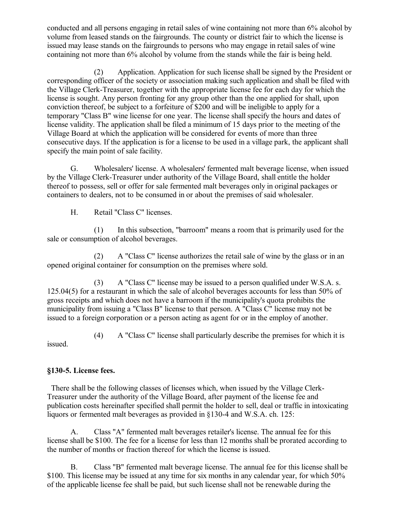conducted and all persons engaging in retail sales of wine containing not more than 6% alcohol by volume from leased stands on the fairgrounds. The county or district fair to which the license is issued may lease stands on the fairgrounds to persons who may engage in retail sales of wine containing not more than 6% alcohol by volume from the stands while the fair is being held.

(2) Application. Application for such license shall be signed by the President or corresponding officer of the society or association making such application and shall be filed with the Village Clerk-Treasurer, together with the appropriate license fee for each day for which the license is sought. Any person fronting for any group other than the one applied for shall, upon conviction thereof, be subject to a forfeiture of \$200 and will be ineligible to apply for a temporary "Class B" wine license for one year. The license shall specify the hours and dates of license validity. The application shall be filed a minimum of 15 days prior to the meeting of the Village Board at which the application will be considered for events of more than three consecutive days. If the application is for a license to be used in a village park, the applicant shall specify the main point of sale facility.

G. Wholesalers' license. A wholesalers' fermented malt beverage license, when issued by the Village Clerk-Treasurer under authority of the Village Board, shall entitle the holder thereof to possess, sell or offer for sale fermented malt beverages only in original packages or containers to dealers, not to be consumed in or about the premises of said wholesaler.

H. Retail "Class C" licenses.

(1) In this subsection, "barroom" means a room that is primarily used for the sale or consumption of alcohol beverages.

(2) A "Class C" license authorizes the retail sale of wine by the glass or in an opened original container for consumption on the premises where sold.

(3) A "Class C" license may be issued to a person qualified under W.S.A. s. 125.04(5) for a restaurant in which the sale of alcohol beverages accounts for less than 50% of gross receipts and which does not have a barroom if the municipality's quota prohibits the municipality from issuing a "Class B" license to that person. A "Class C" license may not be issued to a foreign corporation or a person acting as agent for or in the employ of another.

(4) A "Class C" license shall particularly describe the premises for which it is

issued.

# **§130-5. License fees.**

 There shall be the following classes of licenses which, when issued by the Village Clerk-Treasurer under the authority of the Village Board, after payment of the license fee and publication costs hereinafter specified shall permit the holder to sell, deal or traffic in intoxicating liquors or fermented malt beverages as provided in §130-4 and W.S.A. ch. 125:

A. Class "A" fermented malt beverages retailer's license. The annual fee for this license shall be \$100. The fee for a license for less than 12 months shall be prorated according to the number of months or fraction thereof for which the license is issued.

B. Class "B" fermented malt beverage license. The annual fee for this license shall be \$100. This license may be issued at any time for six months in any calendar year, for which 50% of the applicable license fee shall be paid, but such license shall not be renewable during the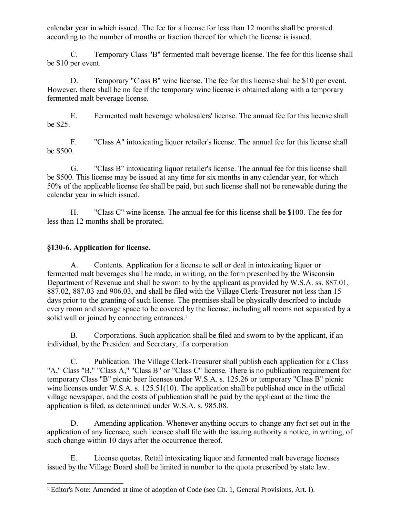calendar year in which issued. The fee for a license for less than 12 months shall be prorated according to the number of months or fraction thereof for which the license is issued.

C. Temporary Class "B" fermented malt beverage license. The fee for this license shall be \$10 per event.

D. Temporary "Class B" wine license. The fee for this license shall be \$10 per event. However, there shall be no fee if the temporary wine license is obtained along with a temporary fermented malt beverage license.

E. Fermented malt beverage wholesalers' license. The annual fee for this license shall be \$25.

F. "Class A" intoxicating liquor retailer's license. The annual fee for this license shall be \$500.

G. "Class B" intoxicating liquor retailer's license. The annual fee for this license shall be \$500. This license may be issued at any time for six months in any calendar year, for which 50% of the applicable license fee shall be paid, but such license shall not be renewable during the calendar year in which issued.

H. "Class C" wine license. The annual fee for this license shall be \$100. The fee for less than 12 months shall be prorated.

## **§130-6. Application for license.**

A. Contents. Application for a license to sell or deal in intoxicating liquor or fermented malt beverages shall be made, in writing, on the form prescribed by the Wisconsin Department of Revenue and shall be sworn to by the applicant as provided by W.S.A. ss. 887.01, 887.02, 887.03 and 906.03, and shall be filed with the Village Clerk-Treasurer not less than 15 days prior to the granting of such license. The premises shall be physically described to include every room and storage space to be covered by the license, including all rooms not separated by a solid wall or joined by connecting entrances.<sup>[1](#page-4-0)</sup>

B. Corporations. Such application shall be filed and sworn to by the applicant, if an individual, by the President and Secretary, if a corporation.

C. Publication. The Village Clerk-Treasurer shall publish each application for a Class "A," Class "B," "Class A," "Class B" or "Class C" license. There is no publication requirement for temporary Class "B" picnic beer licenses under W.S.A. s. 125.26 or temporary "Class B" picnic wine licenses under W.S.A. s. 125.51(10). The application shall be published once in the official village newspaper, and the costs of publication shall be paid by the applicant at the time the application is filed, as determined under W.S.A. s. 985.08.

D. Amending application. Whenever anything occurs to change any fact set out in the application of any licensee, such licensee shall file with the issuing authority a notice, in writing, of such change within 10 days after the occurrence thereof.

E. License quotas. Retail intoxicating liquor and fermented malt beverage licenses issued by the Village Board shall be limited in number to the quota prescribed by state law.

<span id="page-4-0"></span><sup>1</sup> Editor's Note: Amended at time of adoption of Code (see Ch. 1, General Provisions, Art. I).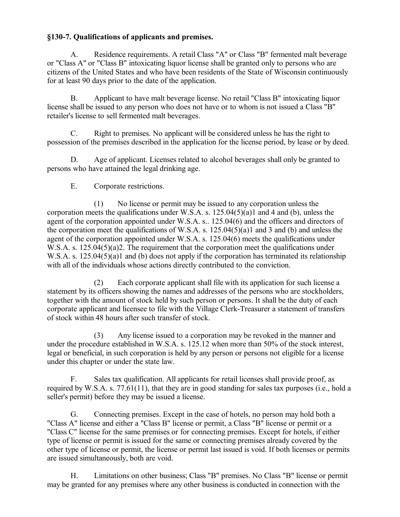## **§130-7. Qualifications of applicants and premises.**

A. Residence requirements. A retail Class "A" or Class "B" fermented malt beverage or "Class A" or "Class B" intoxicating liquor license shall be granted only to persons who are citizens of the United States and who have been residents of the State of Wisconsin continuously for at least 90 days prior to the date of the application.

B. Applicant to have malt beverage license. No retail "Class B" intoxicating liquor license shall be issued to any person who does not have or to whom is not issued a Class "B" retailer's license to sell fermented malt beverages.

C. Right to premises. No applicant will be considered unless he has the right to possession of the premises described in the application for the license period, by lease or by deed.

D. Age of applicant. Licenses related to alcohol beverages shall only be granted to persons who have attained the legal drinking age.

E. Corporate restrictions.

(1) No license or permit may be issued to any corporation unless the corporation meets the qualifications under W.S.A. s.  $125.04(5)(a)1$  and 4 and (b), unless the agent of the corporation appointed under W.S.A. s.. 125.04(6) and the officers and directors of the corporation meet the qualifications of W.S.A. s.  $125.04(5)(a)1$  and 3 and (b) and unless the agent of the corporation appointed under W.S.A. s. 125.04(6) meets the qualifications under W.S.A. s. 125.04(5)(a)2. The requirement that the corporation meet the qualifications under W.S.A. s. 125.04(5)(a)1 and (b) does not apply if the corporation has terminated its relationship with all of the individuals whose actions directly contributed to the conviction.

(2) Each corporate applicant shall file with its application for such license a statement by its officers showing the names and addresses of the persons who are stockholders, together with the amount of stock held by such person or persons. It shall be the duty of each corporate applicant and licensee to file with the Village Clerk-Treasurer a statement of transfers of stock within 48 hours after such transfer of stock.

(3) Any license issued to a corporation may be revoked in the manner and under the procedure established in W.S.A. s. 125.12 when more than 50% of the stock interest, legal or beneficial, in such corporation is held by any person or persons not eligible for a license under this chapter or under the state law.

F. Sales tax qualification. All applicants for retail licenses shall provide proof, as required by W.S.A. s. 77.61(11), that they are in good standing for sales tax purposes (i.e., hold a seller's permit) before they may be issued a license.

G. Connecting premises. Except in the case of hotels, no person may hold both a "Class A" license and either a "Class B" license or permit, a Class "B" license or permit or a "Class C" license for the same premises or for connecting premises. Except for hotels, if either type of license or permit is issued for the same or connecting premises already covered by the other type of license or permit, the license or permit last issued is void. If both licenses or permits are issued simultaneously, both are void.

H. Limitations on other business; Class "B" premises. No Class "B" license or permit may be granted for any premises where any other business is conducted in connection with the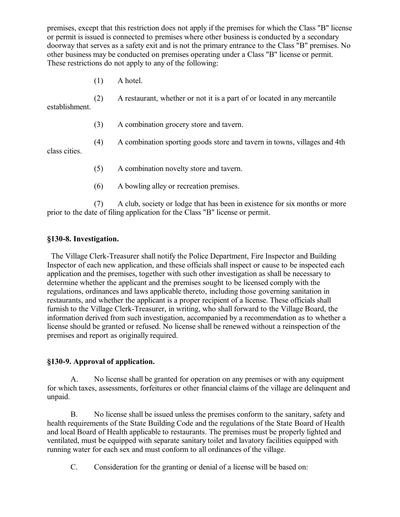premises, except that this restriction does not apply if the premises for which the Class "B" license or permit is issued is connected to premises where other business is conducted by a secondary doorway that serves as a safety exit and is not the primary entrance to the Class "B" premises. No other business may be conducted on premises operating under a Class "B" license or permit. These restrictions do not apply to any of the following:

(1) A hotel.

(2) A restaurant, whether or not it is a part of or located in any mercantile establishment.

- (3) A combination grocery store and tavern.
- (4) A combination sporting goods store and tavern in towns, villages and 4th

class cities.

- (5) A combination novelty store and tavern.
- (6) A bowling alley or recreation premises.

(7) A club, society or lodge that has been in existence for six months or more prior to the date of filing application for the Class "B" license or permit.

## **§130-8. Investigation.**

 The Village Clerk-Treasurer shall notify the Police Department, Fire Inspector and Building Inspector of each new application, and these officials shall inspect or cause to be inspected each application and the premises, together with such other investigation as shall be necessary to determine whether the applicant and the premises sought to be licensed comply with the regulations, ordinances and laws applicable thereto, including those governing sanitation in restaurants, and whether the applicant is a proper recipient of a license. These officials shall furnish to the Village Clerk-Treasurer, in writing, who shall forward to the Village Board, the information derived from such investigation, accompanied by a recommendation as to whether a license should be granted or refused. No license shall be renewed without a reinspection of the premises and report as originally required.

## **§130-9. Approval of application.**

A. No license shall be granted for operation on any premises or with any equipment for which taxes, assessments, forfeitures or other financial claims of the village are delinquent and unpaid.

B. No license shall be issued unless the premises conform to the sanitary, safety and health requirements of the State Building Code and the regulations of the State Board of Health and local Board of Health applicable to restaurants. The premises must be properly lighted and ventilated, must be equipped with separate sanitary toilet and lavatory facilities equipped with running water for each sex and must conform to all ordinances of the village.

C. Consideration for the granting or denial of a license will be based on: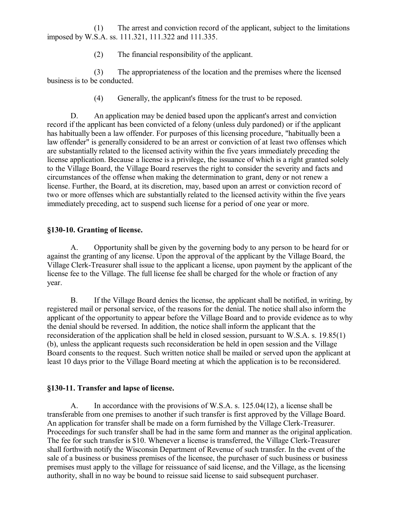(1) The arrest and conviction record of the applicant, subject to the limitations imposed by W.S.A. ss. 111.321, 111.322 and 111.335.

(2) The financial responsibility of the applicant.

(3) The appropriateness of the location and the premises where the licensed business is to be conducted.

(4) Generally, the applicant's fitness for the trust to be reposed.

D. An application may be denied based upon the applicant's arrest and conviction record if the applicant has been convicted of a felony (unless duly pardoned) or if the applicant has habitually been a law offender. For purposes of this licensing procedure, "habitually been a law offender" is generally considered to be an arrest or conviction of at least two offenses which are substantially related to the licensed activity within the five years immediately preceding the license application. Because a license is a privilege, the issuance of which is a right granted solely to the Village Board, the Village Board reserves the right to consider the severity and facts and circumstances of the offense when making the determination to grant, deny or not renew a license. Further, the Board, at its discretion, may, based upon an arrest or conviction record of two or more offenses which are substantially related to the licensed activity within the five years immediately preceding, act to suspend such license for a period of one year or more.

## **§130-10. Granting of license.**

A. Opportunity shall be given by the governing body to any person to be heard for or against the granting of any license. Upon the approval of the applicant by the Village Board, the Village Clerk-Treasurer shall issue to the applicant a license, upon payment by the applicant of the license fee to the Village. The full license fee shall be charged for the whole or fraction of any year.

B. If the Village Board denies the license, the applicant shall be notified, in writing, by registered mail or personal service, of the reasons for the denial. The notice shall also inform the applicant of the opportunity to appear before the Village Board and to provide evidence as to why the denial should be reversed. In addition, the notice shall inform the applicant that the reconsideration of the application shall be held in closed session, pursuant to W.S.A. s. 19.85(1) (b), unless the applicant requests such reconsideration be held in open session and the Village Board consents to the request. Such written notice shall be mailed or served upon the applicant at least 10 days prior to the Village Board meeting at which the application is to be reconsidered.

## **§130-11. Transfer and lapse of license.**

A. In accordance with the provisions of W.S.A. s. 125.04(12), a license shall be transferable from one premises to another if such transfer is first approved by the Village Board. An application for transfer shall be made on a form furnished by the Village Clerk-Treasurer. Proceedings for such transfer shall be had in the same form and manner as the original application. The fee for such transfer is \$10. Whenever a license is transferred, the Village Clerk-Treasurer shall forthwith notify the Wisconsin Department of Revenue of such transfer. In the event of the sale of a business or business premises of the licensee, the purchaser of such business or business premises must apply to the village for reissuance of said license, and the Village, as the licensing authority, shall in no way be bound to reissue said license to said subsequent purchaser.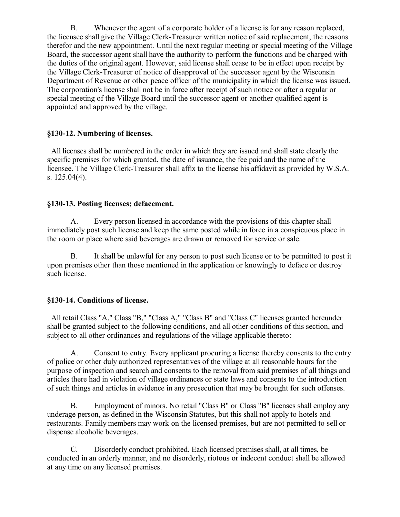B. Whenever the agent of a corporate holder of a license is for any reason replaced, the licensee shall give the Village Clerk-Treasurer written notice of said replacement, the reasons therefor and the new appointment. Until the next regular meeting or special meeting of the Village Board, the successor agent shall have the authority to perform the functions and be charged with the duties of the original agent. However, said license shall cease to be in effect upon receipt by the Village Clerk-Treasurer of notice of disapproval of the successor agent by the Wisconsin Department of Revenue or other peace officer of the municipality in which the license was issued. The corporation's license shall not be in force after receipt of such notice or after a regular or special meeting of the Village Board until the successor agent or another qualified agent is appointed and approved by the village.

## **§130-12. Numbering of licenses.**

 All licenses shall be numbered in the order in which they are issued and shall state clearly the specific premises for which granted, the date of issuance, the fee paid and the name of the licensee. The Village Clerk-Treasurer shall affix to the license his affidavit as provided by W.S.A. s. 125.04(4).

# **§130-13. Posting licenses; defacement.**

A. Every person licensed in accordance with the provisions of this chapter shall immediately post such license and keep the same posted while in force in a conspicuous place in the room or place where said beverages are drawn or removed for service or sale.

B. It shall be unlawful for any person to post such license or to be permitted to post it upon premises other than those mentioned in the application or knowingly to deface or destroy such license.

# **§130-14. Conditions of license.**

 All retail Class "A," Class "B," "Class A," "Class B" and "Class C" licenses granted hereunder shall be granted subject to the following conditions, and all other conditions of this section, and subject to all other ordinances and regulations of the village applicable thereto:

A. Consent to entry. Every applicant procuring a license thereby consents to the entry of police or other duly authorized representatives of the village at all reasonable hours for the purpose of inspection and search and consents to the removal from said premises of all things and articles there had in violation of village ordinances or state laws and consents to the introduction of such things and articles in evidence in any prosecution that may be brought for such offenses.

B. Employment of minors. No retail "Class B" or Class "B" licenses shall employ any underage person, as defined in the Wisconsin Statutes, but this shall not apply to hotels and restaurants. Family members may work on the licensed premises, but are not permitted to sell or dispense alcoholic beverages.

C. Disorderly conduct prohibited. Each licensed premises shall, at all times, be conducted in an orderly manner, and no disorderly, riotous or indecent conduct shall be allowed at any time on any licensed premises.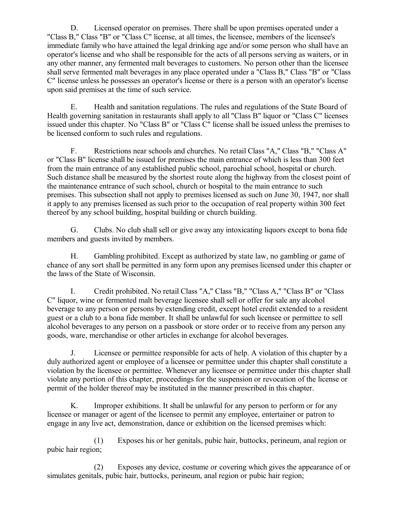D. Licensed operator on premises. There shall be upon premises operated under a "Class B," Class "B" or "Class C" license, at all times, the licensee, members of the licensee's immediate family who have attained the legal drinking age and/or some person who shall have an operator's license and who shall be responsible for the acts of all persons serving as waiters, or in any other manner, any fermented malt beverages to customers. No person other than the licensee shall serve fermented malt beverages in any place operated under a "Class B," Class "B" or "Class C" license unless he possesses an operator's license or there is a person with an operator's license upon said premises at the time of such service.

E. Health and sanitation regulations. The rules and regulations of the State Board of Health governing sanitation in restaurants shall apply to all "Class B" liquor or "Class C" licenses issued under this chapter. No "Class B" or "Class C" license shall be issued unless the premises to be licensed conform to such rules and regulations.

F. Restrictions near schools and churches. No retail Class "A," Class "B," "Class A" or "Class B" license shall be issued for premises the main entrance of which is less than 300 feet from the main entrance of any established public school, parochial school, hospital or church. Such distance shall be measured by the shortest route along the highway from the closest point of the maintenance entrance of such school, church or hospital to the main entrance to such premises. This subsection shall not apply to premises licensed as such on June 30, 1947, nor shall it apply to any premises licensed as such prior to the occupation of real property within 300 feet thereof by any school building, hospital building or church building.

G. Clubs. No club shall sell or give away any intoxicating liquors except to bona fide members and guests invited by members.

H. Gambling prohibited. Except as authorized by state law, no gambling or game of chance of any sort shall be permitted in any form upon any premises licensed under this chapter or the laws of the State of Wisconsin.

I. Credit prohibited. No retail Class "A," Class "B," "Class A," "Class B" or "Class C" liquor, wine or fermented malt beverage licensee shall sell or offer for sale any alcohol beverage to any person or persons by extending credit, except hotel credit extended to a resident guest or a club to a bona fide member. It shall be unlawful for such licensee or permittee to sell alcohol beverages to any person on a passbook or store order or to receive from any person any goods, ware, merchandise or other articles in exchange for alcohol beverages.

J. Licensee or permittee responsible for acts of help. A violation of this chapter by a duly authorized agent or employee of a licensee or permittee under this chapter shall constitute a violation by the licensee or permittee. Whenever any licensee or permittee under this chapter shall violate any portion of this chapter, proceedings for the suspension or revocation of the license or permit of the holder thereof may be instituted in the manner prescribed in this chapter.

K. Improper exhibitions. It shall be unlawful for any person to perform or for any licensee or manager or agent of the licensee to permit any employee, entertainer or patron to engage in any live act, demonstration, dance or exhibition on the licensed premises which:

(1) Exposes his or her genitals, pubic hair, buttocks, perineum, anal region or pubic hair region;

(2) Exposes any device, costume or covering which gives the appearance of or simulates genitals, pubic hair, buttocks, perineum, anal region or pubic hair region;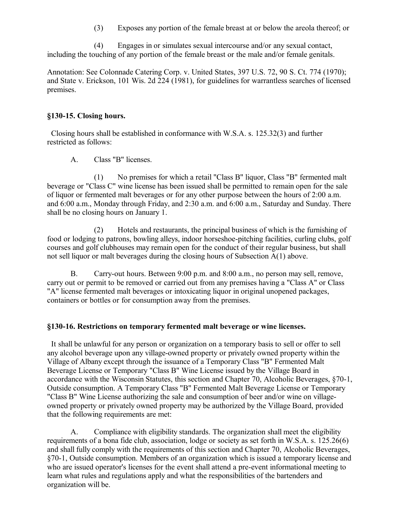(3) Exposes any portion of the female breast at or below the areola thereof; or

(4) Engages in or simulates sexual intercourse and/or any sexual contact, including the touching of any portion of the female breast or the male and/or female genitals.

Annotation: See Colonnade Catering Corp. v. United States, 397 U.S. 72, 90 S. Ct. 774 (1970); and State v. Erickson, 101 Wis. 2d 224 (1981), for guidelines for warrantless searches of licensed premises.

### **§130-15. Closing hours.**

 Closing hours shall be established in conformance with W.S.A. s. 125.32(3) and further restricted as follows:

A. Class "B" licenses.

(1) No premises for which a retail "Class B" liquor, Class "B" fermented malt beverage or "Class C" wine license has been issued shall be permitted to remain open for the sale of liquor or fermented malt beverages or for any other purpose between the hours of 2:00 a.m. and 6:00 a.m., Monday through Friday, and 2:30 a.m. and 6:00 a.m., Saturday and Sunday. There shall be no closing hours on January 1.

(2) Hotels and restaurants, the principal business of which is the furnishing of food or lodging to patrons, bowling alleys, indoor horseshoe-pitching facilities, curling clubs, golf courses and golf clubhouses may remain open for the conduct of their regular business, but shall not sell liquor or malt beverages during the closing hours of Subsection A(1) above.

B. Carry-out hours. Between 9:00 p.m. and 8:00 a.m., no person may sell, remove, carry out or permit to be removed or carried out from any premises having a "Class A" or Class "A" license fermented malt beverages or intoxicating liquor in original unopened packages, containers or bottles or for consumption away from the premises.

## **§130-16. Restrictions on temporary fermented malt beverage or wine licenses.**

 It shall be unlawful for any person or organization on a temporary basis to sell or offer to sell any alcohol beverage upon any village-owned property or privately owned property within the Village of Albany except through the issuance of a Temporary Class "B" Fermented Malt Beverage License or Temporary "Class B" Wine License issued by the Village Board in accordance with the Wisconsin Statutes, this section and Chapter 70, Alcoholic Beverages, §70-1, Outside consumption. A Temporary Class "B" Fermented Malt Beverage License or Temporary "Class B" Wine License authorizing the sale and consumption of beer and/or wine on villageowned property or privately owned property may be authorized by the Village Board, provided that the following requirements are met:

A. Compliance with eligibility standards. The organization shall meet the eligibility requirements of a bona fide club, association, lodge or society as set forth in W.S.A. s. 125.26(6) and shall fully comply with the requirements of this section and Chapter 70, Alcoholic Beverages, §70-1, Outside consumption. Members of an organization which is issued a temporary license and who are issued operator's licenses for the event shall attend a pre-event informational meeting to learn what rules and regulations apply and what the responsibilities of the bartenders and organization will be.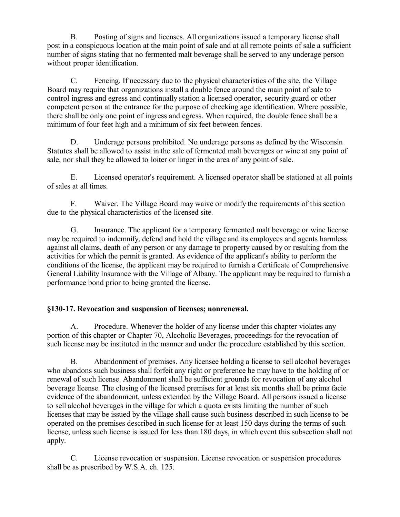B. Posting of signs and licenses. All organizations issued a temporary license shall post in a conspicuous location at the main point of sale and at all remote points of sale a sufficient number of signs stating that no fermented malt beverage shall be served to any underage person without proper identification.

C. Fencing. If necessary due to the physical characteristics of the site, the Village Board may require that organizations install a double fence around the main point of sale to control ingress and egress and continually station a licensed operator, security guard or other competent person at the entrance for the purpose of checking age identification. Where possible, there shall be only one point of ingress and egress. When required, the double fence shall be a minimum of four feet high and a minimum of six feet between fences.

D. Underage persons prohibited. No underage persons as defined by the Wisconsin Statutes shall be allowed to assist in the sale of fermented malt beverages or wine at any point of sale, nor shall they be allowed to loiter or linger in the area of any point of sale.

E. Licensed operator's requirement. A licensed operator shall be stationed at all points of sales at all times.

F. Waiver. The Village Board may waive or modify the requirements of this section due to the physical characteristics of the licensed site.

G. Insurance. The applicant for a temporary fermented malt beverage or wine license may be required to indemnify, defend and hold the village and its employees and agents harmless against all claims, death of any person or any damage to property caused by or resulting from the activities for which the permit is granted. As evidence of the applicant's ability to perform the conditions of the license, the applicant may be required to furnish a Certificate of Comprehensive General Liability Insurance with the Village of Albany. The applicant may be required to furnish a performance bond prior to being granted the license.

# **§130-17. Revocation and suspension of licenses; nonrenewal.**

A. Procedure. Whenever the holder of any license under this chapter violates any portion of this chapter or Chapter 70, Alcoholic Beverages, proceedings for the revocation of such license may be instituted in the manner and under the procedure established by this section.

B. Abandonment of premises. Any licensee holding a license to sell alcohol beverages who abandons such business shall forfeit any right or preference he may have to the holding of or renewal of such license. Abandonment shall be sufficient grounds for revocation of any alcohol beverage license. The closing of the licensed premises for at least six months shall be prima facie evidence of the abandonment, unless extended by the Village Board. All persons issued a license to sell alcohol beverages in the village for which a quota exists limiting the number of such licenses that may be issued by the village shall cause such business described in such license to be operated on the premises described in such license for at least 150 days during the terms of such license, unless such license is issued for less than 180 days, in which event this subsection shall not apply.

C. License revocation or suspension. License revocation or suspension procedures shall be as prescribed by W.S.A. ch. 125.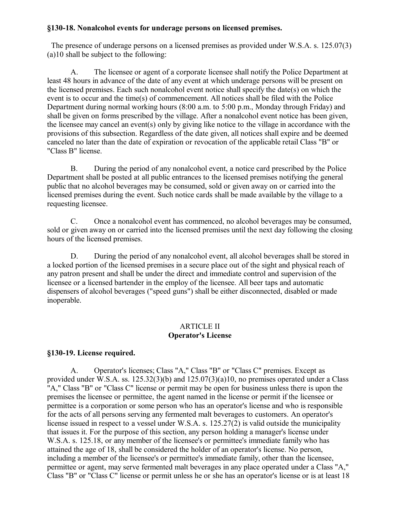### **§130-18. Nonalcohol events for underage persons on licensed premises.**

 The presence of underage persons on a licensed premises as provided under W.S.A. s. 125.07(3) (a)10 shall be subject to the following:

A. The licensee or agent of a corporate licensee shall notify the Police Department at least 48 hours in advance of the date of any event at which underage persons will be present on the licensed premises. Each such nonalcohol event notice shall specify the date(s) on which the event is to occur and the time(s) of commencement. All notices shall be filed with the Police Department during normal working hours (8:00 a.m. to 5:00 p.m., Monday through Friday) and shall be given on forms prescribed by the village. After a nonalcohol event notice has been given, the licensee may cancel an event(s) only by giving like notice to the village in accordance with the provisions of this subsection. Regardless of the date given, all notices shall expire and be deemed canceled no later than the date of expiration or revocation of the applicable retail Class "B" or "Class B" license.

B. During the period of any nonalcohol event, a notice card prescribed by the Police Department shall be posted at all public entrances to the licensed premises notifying the general public that no alcohol beverages may be consumed, sold or given away on or carried into the licensed premises during the event. Such notice cards shall be made available by the village to a requesting licensee.

C. Once a nonalcohol event has commenced, no alcohol beverages may be consumed, sold or given away on or carried into the licensed premises until the next day following the closing hours of the licensed premises.

D. During the period of any nonalcohol event, all alcohol beverages shall be stored in a locked portion of the licensed premises in a secure place out of the sight and physical reach of any patron present and shall be under the direct and immediate control and supervision of the licensee or a licensed bartender in the employ of the licensee. All beer taps and automatic dispensers of alcohol beverages ("speed guns") shall be either disconnected, disabled or made inoperable.

### ARTICLE II **Operator's License**

## **§130-19. License required.**

A. Operator's licenses; Class "A," Class "B" or "Class C" premises. Except as provided under W.S.A. ss. 125.32(3)(b) and 125.07(3)(a)10, no premises operated under a Class "A," Class "B" or "Class C" license or permit may be open for business unless there is upon the premises the licensee or permittee, the agent named in the license or permit if the licensee or permittee is a corporation or some person who has an operator's license and who is responsible for the acts of all persons serving any fermented malt beverages to customers. An operator's license issued in respect to a vessel under W.S.A. s. 125.27(2) is valid outside the municipality that issues it. For the purpose of this section, any person holding a manager's license under W.S.A. s. 125.18, or any member of the licensee's or permittee's immediate family who has attained the age of 18, shall be considered the holder of an operator's license. No person, including a member of the licensee's or permittee's immediate family, other than the licensee, permittee or agent, may serve fermented malt beverages in any place operated under a Class "A," Class "B" or "Class C" license or permit unless he or she has an operator's license or is at least 18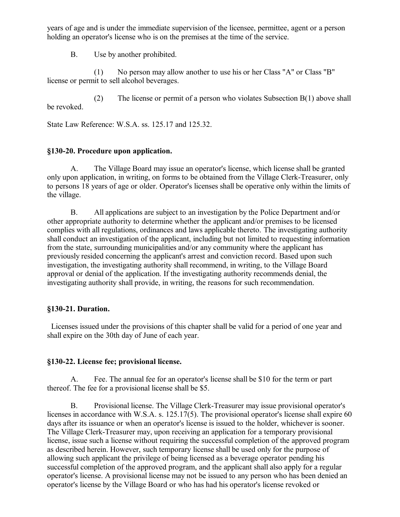years of age and is under the immediate supervision of the licensee, permittee, agent or a person holding an operator's license who is on the premises at the time of the service.

B. Use by another prohibited.

(1) No person may allow another to use his or her Class "A" or Class "B" license or permit to sell alcohol beverages.

(2) The license or permit of a person who violates Subsection B(1) above shall be revoked.

State Law Reference: W.S.A. ss. 125.17 and 125.32.

## **§130-20. Procedure upon application.**

A. The Village Board may issue an operator's license, which license shall be granted only upon application, in writing, on forms to be obtained from the Village Clerk-Treasurer, only to persons 18 years of age or older. Operator's licenses shall be operative only within the limits of the village.

B. All applications are subject to an investigation by the Police Department and/or other appropriate authority to determine whether the applicant and/or premises to be licensed complies with all regulations, ordinances and laws applicable thereto. The investigating authority shall conduct an investigation of the applicant, including but not limited to requesting information from the state, surrounding municipalities and/or any community where the applicant has previously resided concerning the applicant's arrest and conviction record. Based upon such investigation, the investigating authority shall recommend, in writing, to the Village Board approval or denial of the application. If the investigating authority recommends denial, the investigating authority shall provide, in writing, the reasons for such recommendation.

## **§130-21. Duration.**

 Licenses issued under the provisions of this chapter shall be valid for a period of one year and shall expire on the 30th day of June of each year.

## **§130-22. License fee; provisional license.**

A. Fee. The annual fee for an operator's license shall be \$10 for the term or part thereof. The fee for a provisional license shall be \$5.

B. Provisional license. The Village Clerk-Treasurer may issue provisional operator's licenses in accordance with W.S.A. s. 125.17(5). The provisional operator's license shall expire 60 days after its issuance or when an operator's license is issued to the holder, whichever is sooner. The Village Clerk-Treasurer may, upon receiving an application for a temporary provisional license, issue such a license without requiring the successful completion of the approved program as described herein. However, such temporary license shall be used only for the purpose of allowing such applicant the privilege of being licensed as a beverage operator pending his successful completion of the approved program, and the applicant shall also apply for a regular operator's license. A provisional license may not be issued to any person who has been denied an operator's license by the Village Board or who has had his operator's license revoked or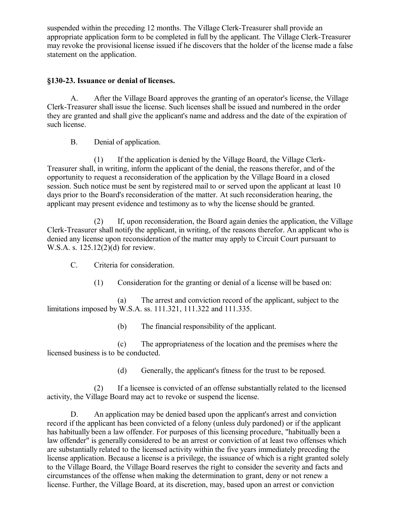suspended within the preceding 12 months. The Village Clerk-Treasurer shall provide an appropriate application form to be completed in full by the applicant. The Village Clerk-Treasurer may revoke the provisional license issued if he discovers that the holder of the license made a false statement on the application.

## **§130-23. Issuance or denial of licenses.**

A. After the Village Board approves the granting of an operator's license, the Village Clerk-Treasurer shall issue the license. Such licenses shall be issued and numbered in the order they are granted and shall give the applicant's name and address and the date of the expiration of such license.

B. Denial of application.

(1) If the application is denied by the Village Board, the Village Clerk-Treasurer shall, in writing, inform the applicant of the denial, the reasons therefor, and of the opportunity to request a reconsideration of the application by the Village Board in a closed session. Such notice must be sent by registered mail to or served upon the applicant at least 10 days prior to the Board's reconsideration of the matter. At such reconsideration hearing, the applicant may present evidence and testimony as to why the license should be granted.

(2) If, upon reconsideration, the Board again denies the application, the Village Clerk-Treasurer shall notify the applicant, in writing, of the reasons therefor. An applicant who is denied any license upon reconsideration of the matter may apply to Circuit Court pursuant to W.S.A. s. 125.12(2)(d) for review.

- C. Criteria for consideration.
	- (1) Consideration for the granting or denial of a license will be based on:

(a) The arrest and conviction record of the applicant, subject to the limitations imposed by W.S.A. ss. 111.321, 111.322 and 111.335.

(b) The financial responsibility of the applicant.

(c) The appropriateness of the location and the premises where the licensed business is to be conducted.

(d) Generally, the applicant's fitness for the trust to be reposed.

(2) If a licensee is convicted of an offense substantially related to the licensed activity, the Village Board may act to revoke or suspend the license.

D. An application may be denied based upon the applicant's arrest and conviction record if the applicant has been convicted of a felony (unless duly pardoned) or if the applicant has habitually been a law offender. For purposes of this licensing procedure, "habitually been a law offender" is generally considered to be an arrest or conviction of at least two offenses which are substantially related to the licensed activity within the five years immediately preceding the license application. Because a license is a privilege, the issuance of which is a right granted solely to the Village Board, the Village Board reserves the right to consider the severity and facts and circumstances of the offense when making the determination to grant, deny or not renew a license. Further, the Village Board, at its discretion, may, based upon an arrest or conviction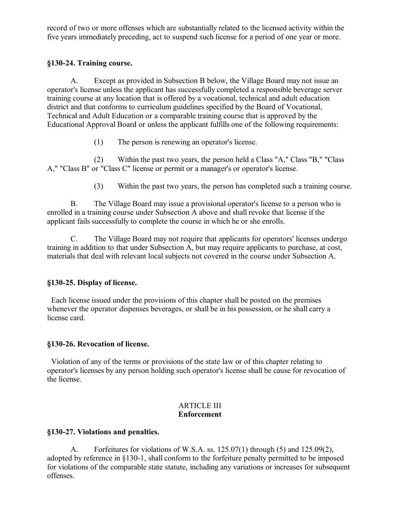record of two or more offenses which are substantially related to the licensed activity within the five years immediately preceding, act to suspend such license for a period of one year or more.

## **§130-24. Training course.**

A. Except as provided in Subsection B below, the Village Board may not issue an operator's license unless the applicant has successfully completed a responsible beverage server training course at any location that is offered by a vocational, technical and adult education district and that conforms to curriculum guidelines specified by the Board of Vocational, Technical and Adult Education or a comparable training course that is approved by the Educational Approval Board or unless the applicant fulfills one of the following requirements:

(1) The person is renewing an operator's license.

(2) Within the past two years, the person held a Class "A," Class "B," "Class A," "Class B" or "Class C" license or permit or a manager's or operator's license.

(3) Within the past two years, the person has completed such a training course.

B. The Village Board may issue a provisional operator's license to a person who is enrolled in a training course under Subsection A above and shall revoke that license if the applicant fails successfully to complete the course in which he or she enrolls.

C. The Village Board may not require that applicants for operators' licenses undergo training in addition to that under Subsection A, but may require applicants to purchase, at cost, materials that deal with relevant local subjects not covered in the course under Subsection A.

## **§130-25. Display of license.**

 Each license issued under the provisions of this chapter shall be posted on the premises whenever the operator dispenses beverages, or shall be in his possession, or he shall carry a license card.

## **§130-26. Revocation of license.**

 Violation of any of the terms or provisions of the state law or of this chapter relating to operator's licenses by any person holding such operator's license shall be cause for revocation of the license.

#### ARTICLE III **Enforcement**

## **§130-27. Violations and penalties.**

A. Forfeitures for violations of W.S.A. ss. 125.07(1) through (5) and 125.09(2), adopted by reference in §130-1, shall conform to the forfeiture penalty permitted to be imposed for violations of the comparable state statute, including any variations or increases for subsequent offenses.